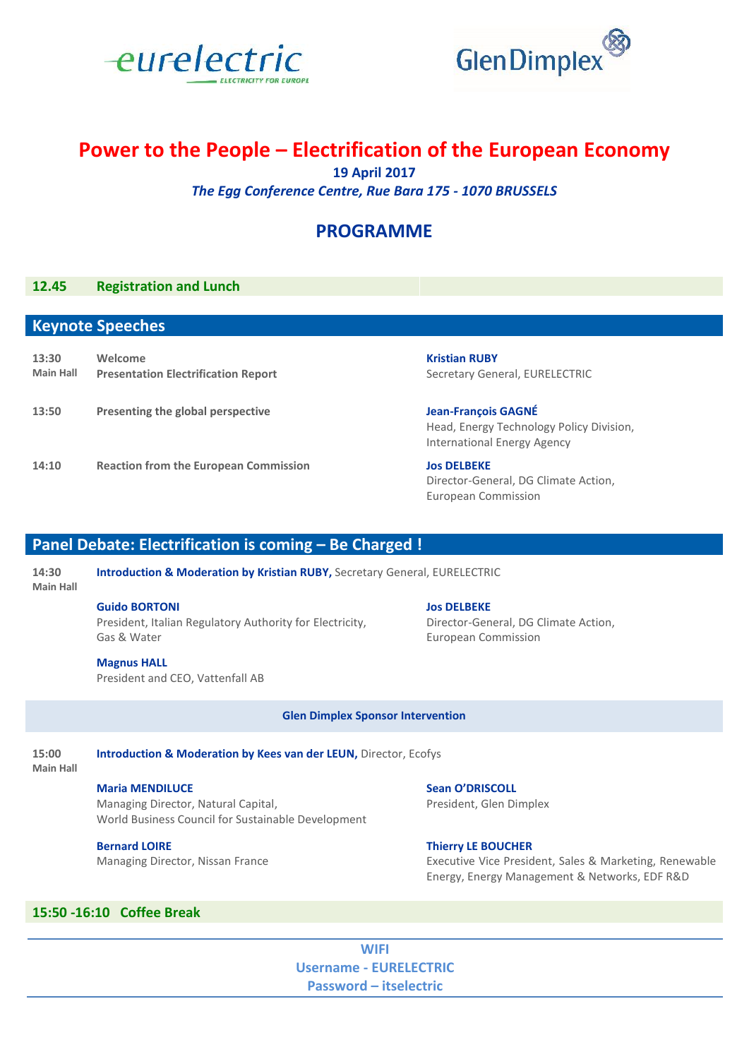



# **Power to the People – Electrification of the European Economy**

**19 April 2017**

*The Egg Conference Centre, Rue Bara 175 - 1070 BRUSSELS*

# **PROGRAMME**

## **12.45 Registration and Lunch**

| <b>Keynote Speeches</b> |                                              |                                          |
|-------------------------|----------------------------------------------|------------------------------------------|
|                         |                                              |                                          |
| 13:30                   | Welcome                                      | <b>Kristian RUBY</b>                     |
| <b>Main Hall</b>        | <b>Presentation Electrification Report</b>   | Secretary General, EURELECTRIC           |
|                         |                                              |                                          |
| 13:50                   | Presenting the global perspective            | <b>Jean-François GAGNÉ</b>               |
|                         |                                              | Head, Energy Technology Policy Division, |
|                         |                                              | <b>International Energy Agency</b>       |
| 14:10                   | <b>Reaction from the European Commission</b> | <b>Jos DELBEKE</b>                       |
|                         |                                              | Director-General, DG Climate Action,     |

## **Panel Debate: Electrification is coming – Be Charged !**

**14:30 Main Hall Introduction & Moderation by Kristian RUBY,** Secretary General, EURELECTRIC

## **Guido BORTONI**

President, Italian Regulatory Authority for Electricity, Gas & Water

**Magnus HALL** President and CEO, Vattenfall AB

### **Jos DELBEKE**

European Commission

Director-General, DG Climate Action, European Commission

**Glen Dimplex Sponsor Intervention**

#### **15:00 Introduction & Moderation by Kees van der LEUN,** Director, Ecofys

**Main Hall**

## **Maria MENDILUCE**

Managing Director, Natural Capital, World Business Council for Sustainable Development

### **Bernard LOIRE**

**15:50 -16:10 Coffee Break**

Managing Director, Nissan France

**Sean O'DRISCOLL**

President, Glen Dimplex

## **Thierry LE BOUCHER**

Executive Vice President, Sales & Marketing, Renewable Energy, Energy Management & Networks, EDF R&D

**WIFI Username - EURELECTRIC Password – itselectric**